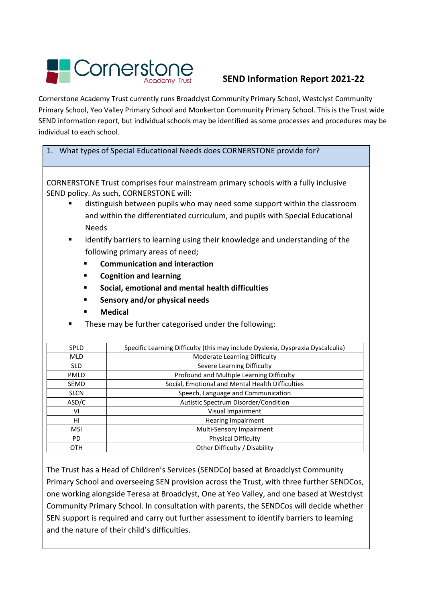# Cornerst

# **SEND Information Report 2021-22**

Cornerstone Academy Trust currently runs Broadclyst Community Primary School, Westclyst Community Primary School, Yeo Valley Primary School and Monkerton Community Primary School. This is the Trust wide SEND information report, but individual schools may be identified as some processes and procedures may be individual to each school.

#### 1. What types of Special Educational Needs does CORNERSTONE provide for?

CORNERSTONE Trust comprises four mainstream primary schools with a fully inclusive SEND policy. As such, CORNERSTONE will:

- distinguish between pupils who may need some support within the classroom and within the differentiated curriculum, and pupils with Special Educational Needs
- identify barriers to learning using their knowledge and understanding of the following primary areas of need;
	- **Communication and interaction**
	- **Cognition and learning**
	- **Social, emotional and mental health difficulties**
	- **Fig. 3** Sensory and/or physical needs
	- **Medical**
- These may be further categorised under the following:

| <b>SPLD</b> | Specific Learning Difficulty (this may include Dyslexia, Dyspraxia Dyscalculia) |
|-------------|---------------------------------------------------------------------------------|
| <b>MLD</b>  | Moderate Learning Difficulty                                                    |
| <b>SLD</b>  | Severe Learning Difficulty                                                      |
| PMLD        | Profound and Multiple Learning Difficulty                                       |
| <b>SEMD</b> | Social, Emotional and Mental Health Difficulties                                |
| <b>SLCN</b> | Speech, Language and Communication                                              |
| ASD/C       | Autistic Spectrum Disorder/Condition                                            |
| ۷ı          | Visual Impairment                                                               |
| HI          | <b>Hearing Impairment</b>                                                       |
| <b>MSI</b>  | Multi-Sensory Impairment                                                        |
| PD.         | <b>Physical Difficulty</b>                                                      |
| <b>OTH</b>  | Other Difficulty / Disability                                                   |

The Trust has a Head of Children's Services (SENDCo) based at Broadclyst Community Primary School and overseeing SEN provision across the Trust, with three further SENDCos, one working alongside Teresa at Broadclyst, One at Yeo Valley, and one based at Westclyst Community Primary School. In consultation with parents, the SENDCos will decide whether SEN support is required and carry out further assessment to identify barriers to learning and the nature of their child's difficulties.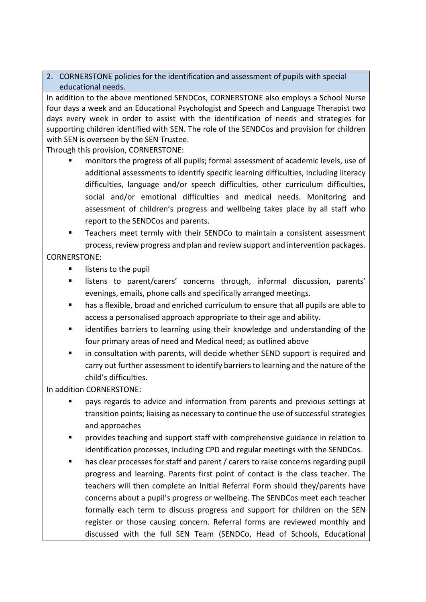#### 2. CORNERSTONE policies for the identification and assessment of pupils with special educational needs.

In addition to the above mentioned SENDCos, CORNERSTONE also employs a School Nurse four days a week and an Educational Psychologist and Speech and Language Therapist two days every week in order to assist with the identification of needs and strategies for supporting children identified with SEN. The role of the SENDCos and provision for children with SEN is overseen by the SEN Trustee.

Through this provision, CORNERSTONE:

- monitors the progress of all pupils; formal assessment of academic levels, use of additional assessments to identify specific learning difficulties, including literacy difficulties, language and/or speech difficulties, other curriculum difficulties, social and/or emotional difficulties and medical needs. Monitoring and assessment of children's progress and wellbeing takes place by all staff who report to the SENDCos and parents.
- Teachers meet termly with their SENDCo to maintain a consistent assessment process, review progress and plan and review support and intervention packages.

#### CORNERSTONE:

- listens to the pupil
- listens to parent/carers' concerns through, informal discussion, parents' evenings, emails, phone calls and specifically arranged meetings.
- has a flexible, broad and enriched curriculum to ensure that all pupils are able to access a personalised approach appropriate to their age and ability.
- identifies barriers to learning using their knowledge and understanding of the four primary areas of need and Medical need; as outlined above
- in consultation with parents, will decide whether SEND support is required and carry out further assessment to identify barriers to learning and the nature of the child's difficulties.

In addition CORNERSTONE:

- pays regards to advice and information from parents and previous settings at transition points; liaising as necessary to continue the use of successful strategies and approaches
- provides teaching and support staff with comprehensive guidance in relation to identification processes, including CPD and regular meetings with the SENDCos.
- has clear processes for staff and parent / carers to raise concerns regarding pupil progress and learning. Parents first point of contact is the class teacher. The teachers will then complete an Initial Referral Form should they/parents have concerns about a pupil's progress or wellbeing. The SENDCos meet each teacher formally each term to discuss progress and support for children on the SEN register or those causing concern. Referral forms are reviewed monthly and discussed with the full SEN Team (SENDCo, Head of Schools, Educational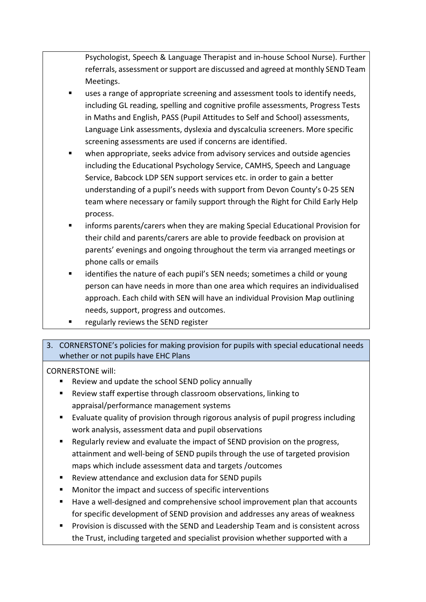Psychologist, Speech & Language Therapist and in-house School Nurse). Further referrals, assessment or support are discussed and agreed at monthly SEND Team Meetings.

- uses a range of appropriate screening and assessment tools to identify needs, including GL reading, spelling and cognitive profile assessments, Progress Tests in Maths and English, PASS (Pupil Attitudes to Self and School) assessments, Language Link assessments, dyslexia and dyscalculia screeners. More specific screening assessments are used if concerns are identified.
- when appropriate, seeks advice from advisory services and outside agencies including the Educational Psychology Service, CAMHS, Speech and Language Service, Babcock LDP SEN support services etc. in order to gain a better understanding of a pupil's needs with support from Devon County's 0-25 SEN team where necessary or family support through the Right for Child Early Help process.
- informs parents/carers when they are making Special Educational Provision for their child and parents/carers are able to provide feedback on provision at parents' evenings and ongoing throughout the term via arranged meetings or phone calls or emails
- identifies the nature of each pupil's SEN needs; sometimes a child or young person can have needs in more than one area which requires an individualised approach. Each child with SEN will have an individual Provision Map outlining needs, support, progress and outcomes.
- regularly reviews the SEND register

## 3. CORNERSTONE's policies for making provision for pupils with special educational needs whether or not pupils have EHC Plans

- Review and update the school SEND policy annually
- Review staff expertise through classroom observations, linking to appraisal/performance management systems
- Evaluate quality of provision through rigorous analysis of pupil progress including work analysis, assessment data and pupil observations
- Regularly review and evaluate the impact of SEND provision on the progress, attainment and well-being of SEND pupils through the use of targeted provision maps which include assessment data and targets /outcomes
- Review attendance and exclusion data for SEND pupils
- Monitor the impact and success of specific interventions
- Have a well-designed and comprehensive school improvement plan that accounts for specific development of SEND provision and addresses any areas of weakness
- Provision is discussed with the SEND and Leadership Team and is consistent across the Trust, including targeted and specialist provision whether supported with a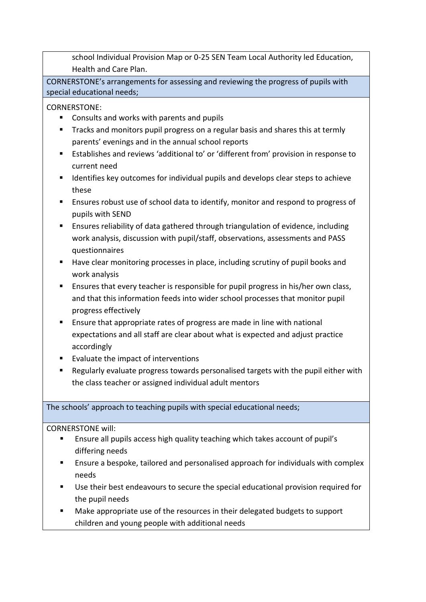school Individual Provision Map or 0-25 SEN Team Local Authority led Education, Health and Care Plan.

CORNERSTONE's arrangements for assessing and reviewing the progress of pupils with special educational needs;

CORNERSTONE:

- Consults and works with parents and pupils
- Tracks and monitors pupil progress on a regular basis and shares this at termly parents' evenings and in the annual school reports
- Establishes and reviews 'additional to' or 'different from' provision in response to current need
- Identifies key outcomes for individual pupils and develops clear steps to achieve these
- Ensures robust use of school data to identify, monitor and respond to progress of pupils with SEND
- Ensures reliability of data gathered through triangulation of evidence, including work analysis, discussion with pupil/staff, observations, assessments and PASS questionnaires
- Have clear monitoring processes in place, including scrutiny of pupil books and work analysis
- **Ensures that every teacher is responsible for pupil progress in his/her own class,** and that this information feeds into wider school processes that monitor pupil progress effectively
- Ensure that appropriate rates of progress are made in line with national expectations and all staff are clear about what is expected and adjust practice accordingly
- Evaluate the impact of interventions
- Regularly evaluate progress towards personalised targets with the pupil either with the class teacher or assigned individual adult mentors

The schools' approach to teaching pupils with special educational needs;

- Ensure all pupils access high quality teaching which takes account of pupil's differing needs
- Ensure a bespoke, tailored and personalised approach for individuals with complex needs
- Use their best endeavours to secure the special educational provision required for the pupil needs
- Make appropriate use of the resources in their delegated budgets to support children and young people with additional needs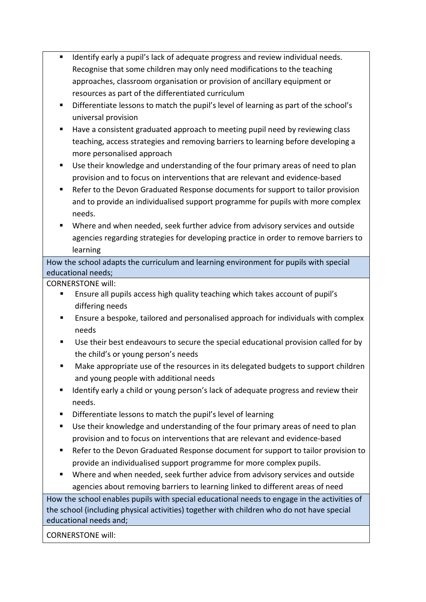- **If all identify early a pupil's lack of adequate progress and review individual needs.** Recognise that some children may only need modifications to the teaching approaches, classroom organisation or provision of ancillary equipment or resources as part of the differentiated curriculum
- Differentiate lessons to match the pupil's level of learning as part of the school's universal provision
- Have a consistent graduated approach to meeting pupil need by reviewing class teaching, access strategies and removing barriers to learning before developing a more personalised approach
- Use their knowledge and understanding of the four primary areas of need to plan provision and to focus on interventions that are relevant and evidence-based
- Refer to the Devon Graduated Response documents for support to tailor provision and to provide an individualised support programme for pupils with more complex needs.
- Where and when needed, seek further advice from advisory services and outside agencies regarding strategies for developing practice in order to remove barriers to learning

How the school adapts the curriculum and learning environment for pupils with special educational needs;

CORNERSTONE will:

- Ensure all pupils access high quality teaching which takes account of pupil's differing needs
- Ensure a bespoke, tailored and personalised approach for individuals with complex needs
- Use their best endeavours to secure the special educational provision called for by the child's or young person's needs
- Make appropriate use of the resources in its delegated budgets to support children and young people with additional needs
- Identify early a child or young person's lack of adequate progress and review their needs.
- Differentiate lessons to match the pupil's level of learning
- Use their knowledge and understanding of the four primary areas of need to plan provision and to focus on interventions that are relevant and evidence-based
- Refer to the Devon Graduated Response document for support to tailor provision to provide an individualised support programme for more complex pupils.
- Where and when needed, seek further advice from advisory services and outside agencies about removing barriers to learning linked to different areas of need

How the school enables pupils with special educational needs to engage in the activities of the school (including physical activities) together with children who do not have special educational needs and;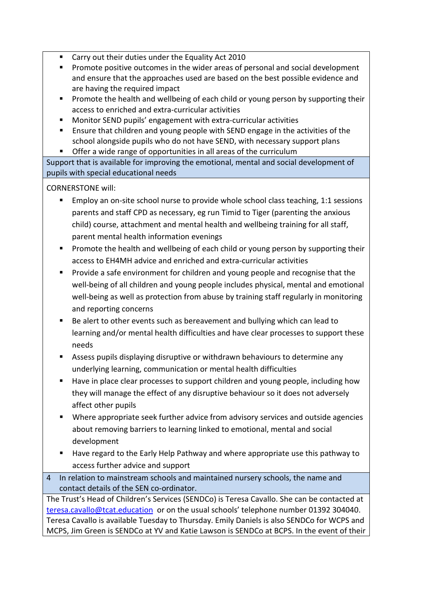- Carry out their duties under the Equality Act 2010
- **Promote positive outcomes in the wider areas of personal and social development** and ensure that the approaches used are based on the best possible evidence and are having the required impact
- **Promote the health and wellbeing of each child or young person by supporting their** access to enriched and extra-curricular activities
- Monitor SEND pupils' engagement with extra-curricular activities
- Ensure that children and young people with SEND engage in the activities of the school alongside pupils who do not have SEND, with necessary support plans
- **Offer a wide range of opportunities in all areas of the curriculum**

Support that is available for improving the emotional, mental and social development of pupils with special educational needs

CORNERSTONE will:

- Employ an on-site school nurse to provide whole school class teaching, 1:1 sessions parents and staff CPD as necessary, eg run Timid to Tiger (parenting the anxious child) course, attachment and mental health and wellbeing training for all staff, parent mental health information evenings
- **Promote the health and wellbeing of each child or young person by supporting their** access to EH4MH advice and enriched and extra-curricular activities
- **Provide a safe environment for children and young people and recognise that the** well-being of all children and young people includes physical, mental and emotional well-being as well as protection from abuse by training staff regularly in monitoring and reporting concerns
- Be alert to other events such as bereavement and bullying which can lead to learning and/or mental health difficulties and have clear processes to support these needs
- Assess pupils displaying disruptive or withdrawn behaviours to determine any underlying learning, communication or mental health difficulties
- Have in place clear processes to support children and young people, including how they will manage the effect of any disruptive behaviour so it does not adversely affect other pupils
- Where appropriate seek further advice from advisory services and outside agencies about removing barriers to learning linked to emotional, mental and social development
- Have regard to the Early Help Pathway and where appropriate use this pathway to access further advice and support
- 4 In relation to mainstream schools and maintained nursery schools, the name and contact details of the SEN co-ordinator.

The Trust's Head of Children's Services (SENDCo) is Teresa Cavallo. She can be contacted at [teresa.cavallo@tcat.education](mailto:teresa.cavallo@tcat.education) or on the usual schools' telephone number 01392 304040. Teresa Cavallo is available Tuesday to Thursday. Emily Daniels is also SENDCo for WCPS and MCPS, Jim Green is SENDCo at YV and Katie Lawson is SENDCo at BCPS. In the event of their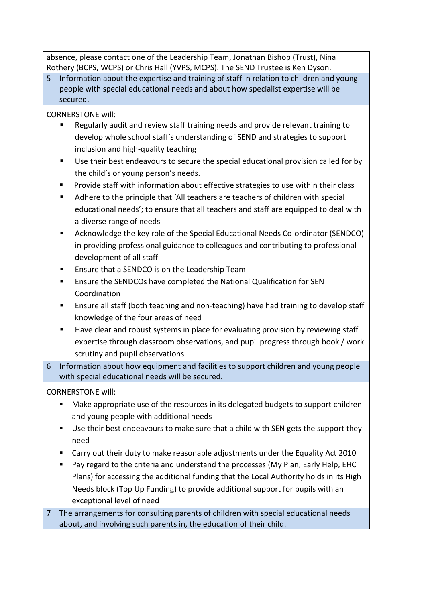absence, please contact one of the Leadership Team, Jonathan Bishop (Trust), Nina Rothery (BCPS, WCPS) or Chris Hall (YVPS, MCPS). The SEND Trustee is Ken Dyson.

5 Information about the expertise and training of staff in relation to children and young people with special educational needs and about how specialist expertise will be secured.

CORNERSTONE will:

- Regularly audit and review staff training needs and provide relevant training to develop whole school staff's understanding of SEND and strategies to support inclusion and high-quality teaching
- Use their best endeavours to secure the special educational provision called for by the child's or young person's needs.
- Provide staff with information about effective strategies to use within their class
- Adhere to the principle that 'All teachers are teachers of children with special educational needs'; to ensure that all teachers and staff are equipped to deal with a diverse range of needs
- Acknowledge the key role of the Special Educational Needs Co-ordinator (SENDCO) in providing professional guidance to colleagues and contributing to professional development of all staff
- Ensure that a SENDCO is on the Leadership Team
- Ensure the SENDCOs have completed the National Qualification for SEN Coordination
- Ensure all staff (both teaching and non-teaching) have had training to develop staff knowledge of the four areas of need
- Have clear and robust systems in place for evaluating provision by reviewing staff expertise through classroom observations, and pupil progress through book / work scrutiny and pupil observations
- 6 Information about how equipment and facilities to support children and young people with special educational needs will be secured.

CORNERSTONE will:

- Make appropriate use of the resources in its delegated budgets to support children and young people with additional needs
- Use their best endeavours to make sure that a child with SEN gets the support they need
- Carry out their duty to make reasonable adjustments under the Equality Act 2010
- **Pay regard to the criteria and understand the processes (My Plan, Early Help, EHC** Plans) for accessing the additional funding that the Local Authority holds in its High Needs block (Top Up Funding) to provide additional support for pupils with an exceptional level of need

7 The arrangements for consulting parents of children with special educational needs about, and involving such parents in, the education of their child.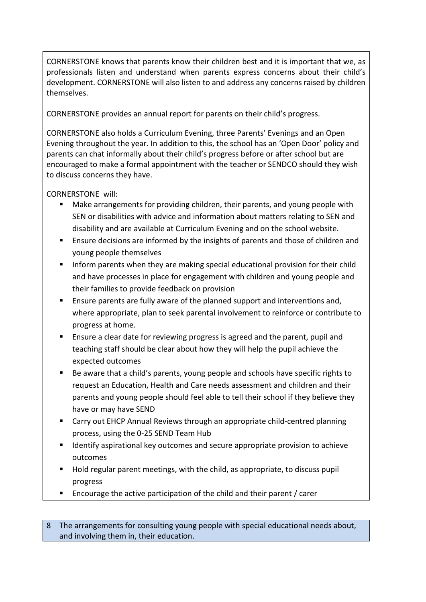CORNERSTONE knows that parents know their children best and it is important that we, as professionals listen and understand when parents express concerns about their child's development. CORNERSTONE will also listen to and address any concerns raised by children themselves.

CORNERSTONE provides an annual report for parents on their child's progress.

CORNERSTONE also holds a Curriculum Evening, three Parents' Evenings and an Open Evening throughout the year. In addition to this, the school has an 'Open Door' policy and parents can chat informally about their child's progress before or after school but are encouraged to make a formal appointment with the teacher or SENDCO should they wish to discuss concerns they have.

#### CORNERSTONE will:

- Make arrangements for providing children, their parents, and young people with SEN or disabilities with advice and information about matters relating to SEN and disability and are available at Curriculum Evening and on the school website.
- Ensure decisions are informed by the insights of parents and those of children and young people themselves
- **Inform parents when they are making special educational provision for their child** and have processes in place for engagement with children and young people and their families to provide feedback on provision
- **Ensure parents are fully aware of the planned support and interventions and,** where appropriate, plan to seek parental involvement to reinforce or contribute to progress at home.
- Ensure a clear date for reviewing progress is agreed and the parent, pupil and teaching staff should be clear about how they will help the pupil achieve the expected outcomes
- Be aware that a child's parents, young people and schools have specific rights to request an Education, Health and Care needs assessment and children and their parents and young people should feel able to tell their school if they believe they have or may have SEND
- Carry out EHCP Annual Reviews through an appropriate child-centred planning process, using the 0-25 SEND Team Hub
- Identify aspirational key outcomes and secure appropriate provision to achieve outcomes
- Hold regular parent meetings, with the child, as appropriate, to discuss pupil progress
- Encourage the active participation of the child and their parent / carer

8 The arrangements for consulting young people with special educational needs about, and involving them in, their education.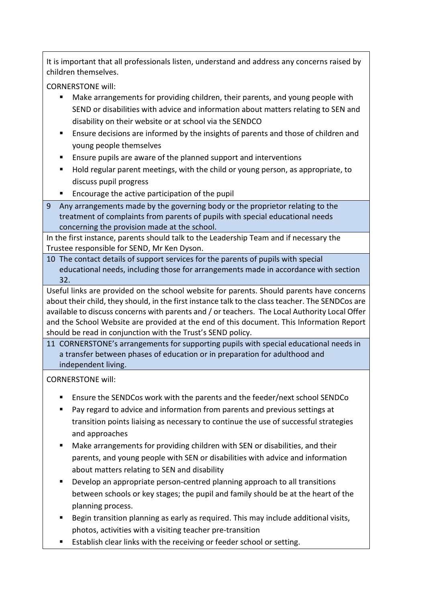It is important that all professionals listen, understand and address any concerns raised by children themselves.

CORNERSTONE will:

- Make arrangements for providing children, their parents, and young people with SEND or disabilities with advice and information about matters relating to SEN and disability on their website or at school via the SENDCO
- Ensure decisions are informed by the insights of parents and those of children and young people themselves
- **Ensure pupils are aware of the planned support and interventions**
- Hold regular parent meetings, with the child or young person, as appropriate, to discuss pupil progress
- **Encourage the active participation of the pupil**
- 9 Any arrangements made by the governing body or the proprietor relating to the treatment of complaints from parents of pupils with special educational needs concerning the provision made at the school.

In the first instance, parents should talk to the Leadership Team and if necessary the Trustee responsible for SEND, Mr Ken Dyson.

10 The contact details of support services for the parents of pupils with special educational needs, including those for arrangements made in accordance with section 32.

Useful links are provided on the school website for parents. Should parents have concerns about their child, they should, in the first instance talk to the class teacher. The SENDCos are available to discuss concerns with parents and / or teachers. The Local Authority Local Offer and the School Website are provided at the end of this document. This Information Report should be read in conjunction with the Trust's SEND policy.

11 CORNERSTONE's arrangements for supporting pupils with special educational needs in a transfer between phases of education or in preparation for adulthood and independent living.

- Ensure the SENDCos work with the parents and the feeder/next school SENDCo
- Pay regard to advice and information from parents and previous settings at transition points liaising as necessary to continue the use of successful strategies and approaches
- Make arrangements for providing children with SEN or disabilities, and their parents, and young people with SEN or disabilities with advice and information about matters relating to SEN and disability
- **Develop an appropriate person-centred planning approach to all transitions** between schools or key stages; the pupil and family should be at the heart of the planning process.
- **Begin transition planning as early as required. This may include additional visits,** photos, activities with a visiting teacher pre-transition
- **Establish clear links with the receiving or feeder school or setting.**